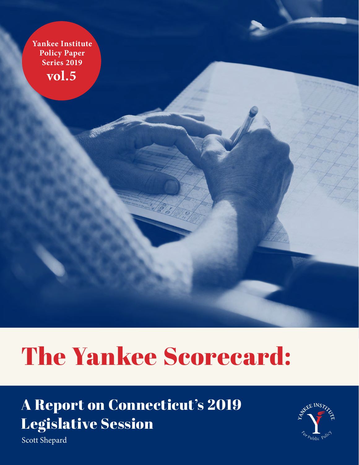**Yankee Institute Policy Paper Series 2019 vol.5**

# The Yankee Scorecard:

## A Report on Connecticut's 2019 Legislative Session



Scott Shepard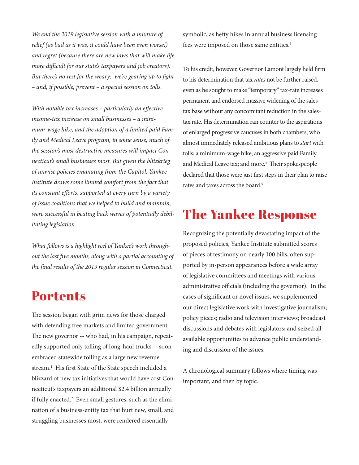*We end the 2019 legislative session with a mixture of relief (as bad as it was, it could have been even worse!) and regret (because there are new laws that will make life more difficult for our state's taxpayers and job creators). But there's no rest for the weary: we're gearing up to fight – and, if possible, prevent – a special session on tolls.* 

*With notable tax increases – particularly an effective income-tax increase on small businesses – a minimum-wage hike, and the adoption of a limited paid Family and Medical Leave program, in some sense, much of the session's most destructive measures will impact Connecticut's small businesses most. But given the blitzkrieg of unwise policies emanating from the Capitol, Yankee Institute draws some limited comfort from the fact that its constant efforts, supported at every turn by a variety of issue coalitions that we helped to build and maintain, were successful in beating back waves of potentially debilitating legislation.* 

*What follows is a highlight reel of Yankee's work throughout the last five months, along with a partial accounting of the final results of the 2019 regular session in Connecticut.*

#### **Portents**

The session began with grim news for those charged with defending free markets and limited government. The new governor -- who had, in his campaign, repeatedly supported only tolling of long-haul trucks -- soon embraced statewide tolling as a large new revenue stream.<sup>1</sup> His first State of the State speech included a blizzard of new tax initiatives that would have cost Connecticut's taxpayers an additional \$2.4 billion annually if fully enacted.<sup>2</sup> Even small gestures, such as the elimination of a business-entity tax that hurt new, small, and struggling businesses most, were rendered essentially

symbolic, as hefty hikes in annual business licensing fees were imposed on those same entities.<sup>3</sup>

To his credit, however, Governor Lamont largely held firm to his determination that tax *rates* not be further raised, even as he sought to make "temporary" tax-rate increases permanent and endorsed massive widening of the salestax base without any concomitant reduction in the salestax rate. His determination ran counter to the aspirations of enlarged progressive caucuses in both chambers, who almost immediately released ambitious plans to *start* with tolls; a minimum-wage hike; an aggressive paid Family and Medical Leave tax; and more.<sup>4</sup> Their spokespeople declared that those were just first steps in their plan to raise rates and taxes across the board.<sup>5</sup>

### The Yankee Response

Recognizing the potentially devastating impact of the proposed policies, Yankee Institute submitted scores of pieces of testimony on nearly 100 bills, often supported by in-person appearances before a wide array of legislative committees and meetings with various administrative officials (including the governor). In the cases of significant or novel issues, we supplemented our direct legislative work with investigative journalism; policy pieces; radio and television interviews; broadcast discussions and debates with legislators; and seized all available opportunities to advance public understanding and discussion of the issues.

A chronological summary follows where timing was important, and then by topic.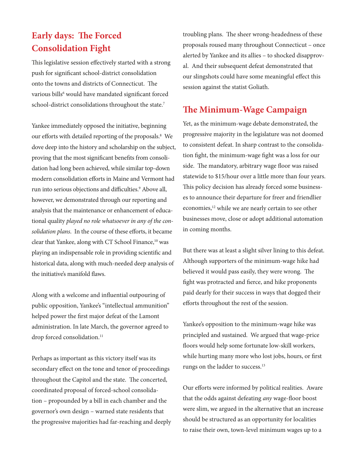#### **Early days: The Forced Consolidation Fight**

This legislative session effectively started with a strong push for significant school-district consolidation onto the towns and districts of Connecticut. The various bills<sup>6</sup> would have mandated significant forced school-district consolidations throughout the state.<sup>7</sup>

Yankee immediately opposed the initiative, beginning our efforts with detailed reporting of the proposals.<sup>8</sup> We dove deep into the history and scholarship on the subject, proving that the most significant benefits from consolidation had long been achieved, while similar top-down modern consolidation efforts in Maine and Vermont had run into serious objections and difficulties.<sup>9</sup> Above all, however, we demonstrated through our reporting and analysis that the maintenance or enhancement of educational quality *played no role whatsoever in any of the consolidation plans*. In the course of these efforts, it became clear that Yankee, along with CT School Finance,<sup>10</sup> was playing an indispensable role in providing scientific and historical data, along with much-needed deep analysis of the initiative's manifold flaws.

Along with a welcome and influential outpouring of public opposition, Yankee's "intellectual ammunition" helped power the first major defeat of the Lamont administration. In late March, the governor agreed to drop forced consolidation.<sup>11</sup>

Perhaps as important as this victory itself was its secondary effect on the tone and tenor of proceedings throughout the Capitol and the state. The concerted, coordinated proposal of forced-school consolidation – propounded by a bill in each chamber and the governor's own design – warned state residents that the progressive majorities had far-reaching and deeply troubling plans. The sheer wrong-headedness of these proposals roused many throughout Connecticut – once alerted by Yankee and its allies – to shocked disapproval. And their subsequent defeat demonstrated that our slingshots could have some meaningful effect this session against the statist Goliath.

#### **The Minimum-Wage Campaign**

Yet, as the minimum-wage debate demonstrated, the progressive majority in the legislature was not doomed to consistent defeat. In sharp contrast to the consolidation fight, the minimum-wage fight was a loss for our side. The mandatory, arbitrary wage floor was raised statewide to \$15/hour over a little more than four years. This policy decision has already forced some businesses to announce their departure for freer and friendlier economies,<sup>12</sup> while we are nearly certain to see other businesses move, close or adopt additional automation in coming months.

But there was at least a slight silver lining to this defeat. Although supporters of the minimum-wage hike had believed it would pass easily, they were wrong. The fight was protracted and fierce, and hike proponents paid dearly for their success in ways that dogged their efforts throughout the rest of the session.

Yankee's opposition to the minimum-wage hike was principled and sustained. We argued that wage-price floors would help some fortunate low-skill workers, while hurting many more who lost jobs, hours, or first rungs on the ladder to success.<sup>13</sup>

Our efforts were informed by political realities. Aware that the odds against defeating *any* wage-floor boost were slim, we argued in the alternative that an increase should be structured as an opportunity for localities to raise their own, town-level minimum wages up to a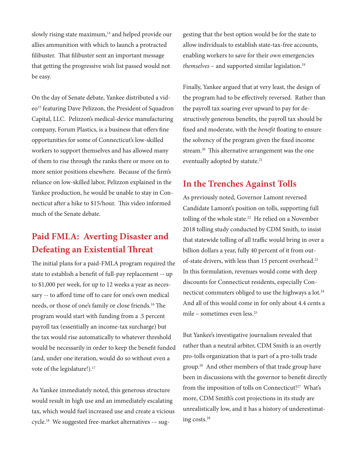slowly rising state maximum,<sup>14</sup> and helped provide our allies ammunition with which to launch a protracted filibuster. That filibuster sent an important message that getting the progressive wish list passed would not be easy.

On the day of Senate debate, Yankee distributed a video<sup>15</sup> featuring Dave Pelizzon, the President of Squadron Capital, LLC. Pelizzon's medical-device manufacturing company, Forum Plastics, is a business that offers fine opportunities for some of Connecticut's low-skilled workers to support themselves and has allowed many of them to rise through the ranks there or move on to more senior positions elsewhere. Because of the firm's reliance on low-skilled labor, Pelizzon explained in the Yankee production, he would be unable to stay in Connecticut after a hike to \$15/hour. This video informed much of the Senate debate.

#### **Paid FMLA: Averting Disaster and Defeating an Existential Threat**

The initial plans for a paid-FMLA program required the state to establish a benefit of full-pay replacement -- up to \$1,000 per week, for up to 12 weeks a year as necessary -- to afford time off to care for one's own medical needs, or those of one's family or close friends.16 The program would start with funding from a .5 percent payroll tax (essentially an income-tax surcharge) but the tax would rise automatically to whatever threshold would be necessarily in order to keep the benefit funded (and, under one iteration, would do so without even a vote of the legislature!).<sup>17</sup>

As Yankee immediately noted, this generous structure would result in high use and an immediately escalating tax, which would fuel increased use and create a vicious cycle.18 We suggested free-market alternatives -– suggesting that the best option would be for the state to allow individuals to establish state-tax-free accounts, enabling workers to save for their *own* emergencies *themselves* – and supported similar legislation.19

Finally, Yankee argued that at very least, the design of the program had to be effectively reversed. Rather than the payroll tax soaring ever upward to pay for destructively generous benefits, the payroll tax should be fixed and moderate, with the *benefit* floating to ensure the solvency of the program given the fixed income stream.<sup>20</sup> This alternative arrangement was the one eventually adopted by statute.<sup>21</sup>

#### **In the Trenches Against Tolls**

As previously noted, Governor Lamont reversed Candidate Lamont's position on tolls, supporting full tolling of the whole state.<sup>22</sup> He relied on a November 2018 tolling study conducted by CDM Smith, to insist that statewide tolling of all traffic would bring in over a billion dollars a year, fully 40 percent of it from outof-state drivers, with less than 15 percent overhead.<sup>23</sup> In this formulation, revenues would come with deep discounts for Connecticut residents, especially Connecticut commuters obliged to use the highways a lot.<sup>24</sup> And all of this would come in for only about 4.4 cents a mile – sometimes even less.25

But Yankee's investigative journalism revealed that rather than a neutral arbiter, CDM Smith is an overtly pro-tolls organization that is part of a pro-tolls trade group.26 And other members of that trade group have been in discussions with the governor to benefit directly from the imposition of tolls on Connecticut!<sup>27</sup> What's more, CDM Smith's cost projections in its study are unrealistically low, and it has a history of underestimating costs.28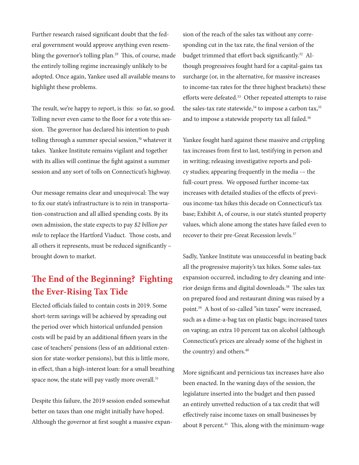Further research raised significant doubt that the federal government would approve anything even resembling the governor's tolling plan.<sup>29</sup> This, of course, made the entirely tolling regime increasingly unlikely to be adopted. Once again, Yankee used all available means to highlight these problems.

The result, we're happy to report, is this: so far, so good. Tolling never even came to the floor for a vote this session. The governor has declared his intention to push tolling through a summer special session,<sup>30</sup> whatever it takes. Yankee Institute remains vigilant and together with its allies will continue the fight against a summer session and any sort of tolls on Connecticut's highway.

Our message remains clear and unequivocal: The way to fix our state's infrastructure is to rein in transportation-construction and all allied spending costs. By its own admission, the state expects to pay *\$2 billion per mile* to replace the Hartford Viaduct. Those costs, and all others it represents, must be reduced significantly – brought down to market.

#### **The End of the Beginning? Fighting the Ever-Rising Tax Tide**

Elected officials failed to contain costs in 2019. Some short-term savings will be achieved by spreading out the period over which historical unfunded pension costs will be paid by an additional fifteen years in the case of teachers' pensions (less of an additional extension for state-worker pensions), but this is little more, in effect, than a high-interest loan: for a small breathing space now, the state will pay vastly more overall.<sup>31</sup>

Despite this failure, the 2019 session ended somewhat better on taxes than one might initially have hoped. Although the governor at first sought a massive expan-

sion of the reach of the sales tax without any corresponding cut in the tax rate, the final version of the budget trimmed that effort back significantly.32 Although progressives fought hard for a capital-gains tax surcharge (or, in the alternative, for massive increases to income-tax rates for the three highest brackets) these efforts were defeated.<sup>33</sup> Other repeated attempts to raise the sales-tax rate statewide,<sup>34</sup> to impose a carbon tax,<sup>35</sup> and to impose a statewide property tax all failed.<sup>36</sup>

Yankee fought hard against these massive and crippling tax increases from first to last, testifying in person and in writing; releasing investigative reports and policy studies; appearing frequently in the media -– the full-court press. We opposed further income-tax increases with detailed studies of the effects of previous income-tax hikes this decade on Connecticut's tax base; Exhibit A, of course, is our state's stunted property values, which alone among the states have failed even to recover to their pre-Great Recession levels.<sup>37</sup>

Sadly, Yankee Institute was unsuccessful in beating back all the progressive majority's tax hikes. Some sales-tax expansion occurred, including to dry cleaning and interior design firms and digital downloads.<sup>38</sup> The sales tax on prepared food and restaurant dining was raised by a point.39 A host of so-called "sin taxes" were increased, such as a dime-a-bag tax on plastic bags; increased taxes on vaping; an extra 10 percent tax on alcohol (although Connecticut's prices are already some of the highest in the country) and others.<sup>40</sup>

More significant and pernicious tax increases have also been enacted. In the waning days of the session, the legislature inserted into the budget and then passed an entirely unvetted reduction of a tax credit that will effectively raise income taxes on small businesses by about 8 percent.<sup>41</sup> This, along with the minimum-wage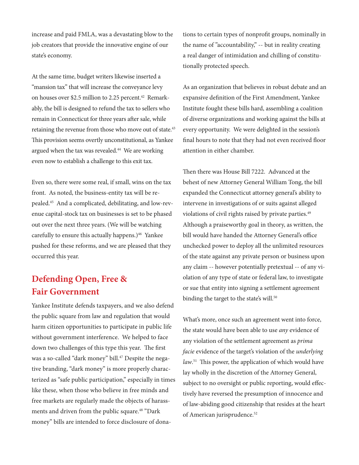increase and paid FMLA, was a devastating blow to the job creators that provide the innovative engine of our state's economy.

At the same time, budget writers likewise inserted a "mansion tax" that will increase the conveyance levy on houses over \$2.5 million to 2.25 percent.<sup>42</sup> Remarkably, the bill is designed to refund the tax to sellers who remain in Connecticut for three years after sale, while retaining the revenue from those who move out of state.<sup>43</sup> This provision seems overtly unconstitutional, as Yankee argued when the tax was revealed.<sup>44</sup> We are working even now to establish a challenge to this exit tax.

Even so, there were some real, if small, wins on the tax front. As noted, the business-entity tax will be repealed.45 And a complicated, debilitating, and low-revenue capital-stock tax on businesses is set to be phased out over the next three years. (We will be watching carefully to ensure this actually happens.)<sup>46</sup> Yankee pushed for these reforms, and we are pleased that they occurred this year.

#### **Defending Open, Free & Fair Government**

Yankee Institute defends taxpayers, and we also defend the public square from law and regulation that would harm citizen opportunities to participate in public life without government interference. We helped to face down two challenges of this type this year. The first was a so-called "dark money" bill.<sup>47</sup> Despite the negative branding, "dark money" is more properly characterized as "safe public participation," especially in times like these, when those who believe in free minds and free markets are regularly made the objects of harassments and driven from the public square.<sup>48</sup> "Dark money" bills are intended to force disclosure of donations to certain types of nonprofit groups, nominally in the name of "accountability," -- but in reality creating a real danger of intimidation and chilling of constitutionally protected speech.

As an organization that believes in robust debate and an expansive definition of the First Amendment, Yankee Institute fought these bills hard, assembling a coalition of diverse organizations and working against the bills at every opportunity. We were delighted in the session's final hours to note that they had not even received floor attention in either chamber.

Then there was House Bill 7222. Advanced at the behest of new Attorney General William Tong, the bill expanded the Connecticut attorney general's ability to intervene in investigations of or suits against alleged violations of civil rights raised by private parties.<sup>49</sup> Although a praiseworthy goal in theory, as written, the bill would have handed the Attorney General's office unchecked power to deploy all the unlimited resources of the state against any private person or business upon any claim -- however potentially pretextual -- of any violation of any type of state or federal law, to investigate or sue that entity into signing a settlement agreement binding the target to the state's will.<sup>50</sup>

What's more, once such an agreement went into force, the state would have been able to use *any* evidence of any violation of the settlement agreement as *prima facie* evidence of the target's violation of the *underlying law*. 51 This power, the application of which would have lay wholly in the discretion of the Attorney General, subject to no oversight or public reporting, would effectively have reversed the presumption of innocence and of law-abiding good citizenship that resides at the heart of American jurisprudence.<sup>52</sup>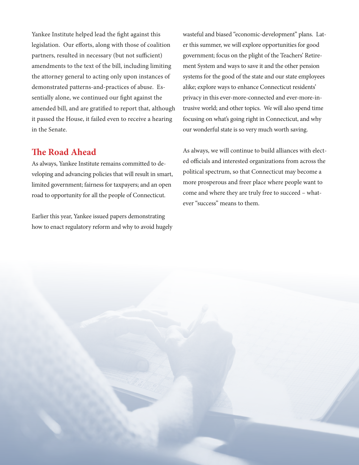Yankee Institute helped lead the fight against this legislation. Our efforts, along with those of coalition partners, resulted in necessary (but not sufficient) amendments to the text of the bill, including limiting the attorney general to acting only upon instances of demonstrated patterns-and-practices of abuse. Essentially alone, we continued our fight against the amended bill, and are gratified to report that, although it passed the House, it failed even to receive a hearing in the Senate.

#### **The Road Ahead**

As always, Yankee Institute remains committed to developing and advancing policies that will result in smart, limited government; fairness for taxpayers; and an open road to opportunity for all the people of Connecticut.

Earlier this year, Yankee issued papers demonstrating how to enact regulatory reform and why to avoid hugely wasteful and biased "economic-development" plans. Later this summer, we will explore opportunities for good government; focus on the plight of the Teachers' Retirement System and ways to save it and the other pension systems for the good of the state and our state employees alike; explore ways to enhance Connecticut residents' privacy in this ever-more-connected and ever-more-intrusive world; and other topics. We will also spend time focusing on what's going right in Connecticut, and why our wonderful state is so very much worth saving.

As always, we will continue to build alliances with elected officials and interested organizations from across the political spectrum, so that Connecticut may become a more prosperous and freer place where people want to come and where they are truly free to succeed – whatever "success" means to them.

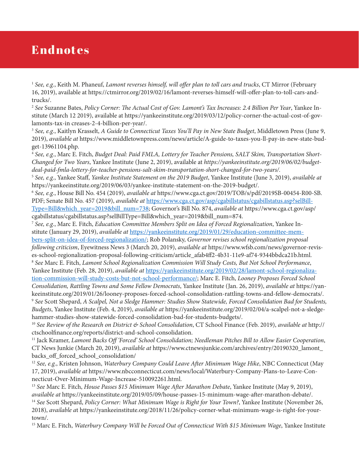#### Endnotes

<sup>1</sup> *See, e.g.*, Keith M. Phaneuf, *Lamont reverses himself, will offer plan to toll cars and trucks*, CT Mirror (February 16, 2019), available at https://ctmirror.org/2019/02/16/lamont-reverses-himself-will-offer-plan-to-toll-cars-andtrucks/.

<sup>2</sup> *See* Suzanne Bates, *Policy Corner: The Actual Cost of Gov. Lamont's Tax Increases: 2.4 Billion Per Year*, Yankee Institute (March 12 2019), available at [https://yankeeinstitute.org/2019/03/12/policy-corner-the-actual-cost-of-gov](https://yankeeinstitute.org/2019/03/12/policy-corner-the-actual-cost-of-gov-lamonts-tax-in)[lamonts-tax-in](https://yankeeinstitute.org/2019/03/12/policy-corner-the-actual-cost-of-gov-lamonts-tax-in) creases-2-4-billion-per-year/.

<sup>3</sup> *See, e.g.*, Kaitlyn Krasselt, *A Guide to Connecticut Taxes You'll Pay in New State Budget*, Middletown Press (June 9, 2019), *available at* https://www.middletownpress.com/news/article/A-guide-to-taxes-you-ll-pay-in-new-state-budget-13961104.php.

<sup>4</sup> *See, e.g.*, Marc E. Fitch, *Budget Deal: Paid FMLA, Lottery for Teacher Pensions, SALT Skim, Transportation Short-Changed for Two Years*, Yankee Institute (June 2, 2019), available at *https://yankeeinstitute.org/2019/06/02/budgetdeal-paid-fmla-lottery-for-teacher-pensions-salt-skim-transportation-short-changed-for-two-years/.*

<sup>5</sup> *See, e.g.*, Yankee Staff, *Yankee Institute Statement on the 2019 Budget*, Yankee Institute (June 3, 2019), *available at* [https://yankeeinstitute.org/2019/06/03/yankee-institute-statement-on-the-2019-budget/.](https://yankeeinstitute.org/2019/06/03/yankee-institute-statement-on-the-2019-budget/)

<sup>6</sup> *See, e.g.*, House Bill No. 454 (2019), *available at* [https://www.cga.ct.gov/2019/TOB/s/pdf/2019SB-00454-R00-SB.](https://www.cga.ct.gov/2019/TOB/s/pdf/2019SB-00454-R00-SB.PDF) [PDF;](https://www.cga.ct.gov/2019/TOB/s/pdf/2019SB-00454-R00-SB.PDF) Senate Bill No. 457 (2019), *available at* [https://www.cga.ct.gov/asp/cgabillstatus/cgabillstatus.asp?selBill-](https://www.cga.ct.gov/asp/cgabillstatus/cgabillstatus.asp?selBillType=Bill&which_year=2019&bill_num=738)[Type=Bill&which\\_year=2019&bill\\_num=738](https://www.cga.ct.gov/asp/cgabillstatus/cgabillstatus.asp?selBillType=Bill&which_year=2019&bill_num=738); Governor's Bill No. 874, *available at* https://www.cga.ct.gov/asp/ cgabillstatus/cgabillstatus.asp?selBillType=Bill&which\_year=2019&bill\_num=874.

<sup>7</sup> *See, e.g.*, Marc E. Fitch, *Education Committee Members Split on Idea of Forced Regionalization*, Yankee Institute (January 29, 2019), *available at* [https://yankeeinstitute.org/2019/01/29/education-committee-mem-](https://yankeeinstitute.org/2019/01/29/education-committee-members-split-on-idea-of-forced-regionalization/)

[bers-split-on-idea-of-forced-regionalization/](https://yankeeinstitute.org/2019/01/29/education-committee-members-split-on-idea-of-forced-regionalization/); Rob Polansky, *Governor revises school regionalization proposal following criticism*, Eyewitness News 3 (March 20, 2019), *available at* https://www.wfsb.com/news/governor-revises-school-regionalization-proposal-following-criticism/article\_afab4ff2-4b31-11e9-af74-9344bbdca21b.html.

<sup>8</sup> *See* Marc E. Fitch, *Lamont School Regionalization Commission Will Study Costs, But Not School Performance*, Yankee Institute (Feb. 28, 2019), *available at* [https://yankeeinstitute.org/2019/02/28/lamont-school-regionaliza-](https://yankeeinstitute.org/2019/02/28/lamont-school-regionalization-commission-will-study-costs-but-not-school-performance/)

[tion-commission-will-study-costs-but-not-school-performance/](https://yankeeinstitute.org/2019/02/28/lamont-school-regionalization-commission-will-study-costs-but-not-school-performance/); Marc E. Fitch, *Looney Proposes Forced School Consolidation, Rattling Towns and Some Fellow Democrats*, Yankee Institute (Jan. 26, 2019), *available at* https://yankeeinstitute.org/2019/01/26/looney-proposes-forced-school-consolidation-rattling-towns-and-fellow-democrats/. <sup>9</sup> *See* Scott Shepard, *A Scalpel, Not a Sledge Hammer: Studies Show Statewide, Forced Consolidation Bad for Students, Budgets*, Yankee Institute (Feb. 4, 2019), *available at* https://yankeeinstitute.org/2019/02/04/a-scalpel-not-a-sledgehammer-studies-show-statewide-forced-consolidation-bad-for-students-budgets/.

<sup>10</sup> *See Review of the Research on District & School Consolidation*, CT School Finance (Feb. 2019), *available at* http:// ctschoolfinance.org/reports/district-and-school-consolidation.

11 Jack Kramer, *Lamont Backs Off 'Forced' School Consolidation; Needleman Pitches Bill to Allow Easier Cooperation*, CT News Junkie (March 20, 2019), *available at* https://www.ctnewsjunkie.com/archives/entry/20190320\_lamont\_ backs off forced school consolidation/

<sup>12</sup> *See, e.g.*, Kristen Johnson, *Waterbury Company Could Leave After Minimum Wage Hike*, NBC Connecticut (May 17, 2019), *available at* https://www.nbcconnecticut.com/news/local/Waterbury-Company-Plans-to-Leave-Connecticut-Over-Minimum-Wage-Increase-510092261.html.

<sup>13</sup> *See* Marc E. Fitch, *House Passes \$15 Minimum Wage After Marathon Debate*, Yankee Institute (May 9, 2019), *available at* https://yankeeinstitute.org/2019/05/09/house-passes-15-minimum-wage-after-marathon-debate/.

<sup>14</sup> *See* Scott Shepard, *Policy Corner: What Minimum Wage is Right for Your Town?*, Yankee Institute (November 26, 2018), *available a*t https://yankeeinstitute.org/2018/11/26/policy-corner-what-minimum-wage-is-right-for-your-

town/.

15 Marc E. Fitch, *Waterbury Company Will be Forced Out of Connecticut With \$15 Minimum Wage*, Yankee Institute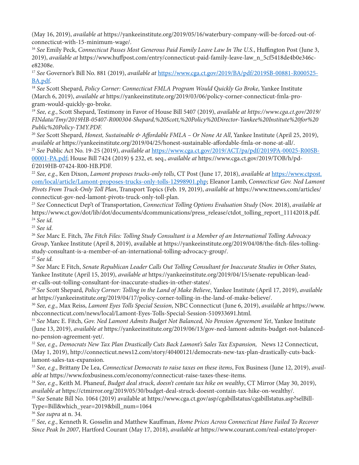(May 16, 2019), *available at* https://yankeeinstitute.org/2019/05/16/waterbury-company-will-be-forced-out-ofconnecticut-with-15-minimum-wage/.

<sup>16</sup> *See* Emily Peck, *Connecticut Passes Most Generous Paid Family Leave Law In The U.S.*, Huffington Post (June 3, 2019), *available at* https://www.huffpost.com/entry/connecticut-paid-family-leave-law\_n\_5cf5418de4b0e346ce82308e.

<sup>17</sup> *See* Governor's Bill No. 881 (2019), *available at* [https://www.cga.ct.gov/2019/BA/pdf/2019SB-00881-R000525-](https://www.cga.ct.gov/2019/BA/pdf/2019SB-00881-R000525-BA.pdf) [BA.pdf](https://www.cga.ct.gov/2019/BA/pdf/2019SB-00881-R000525-BA.pdf).

<sup>18</sup> *See* Scott Shepard, *Policy Corner: Connecticut FMLA Program Would Quickly Go Broke*, Yankee Institute (March 6, 2019), *available at* https://yankeeinstitute.org/2019/03/06/policy-corner-connecticut-fmla-program-would-quickly-go-broke.

<sup>19</sup> *See, e.g.*, Scott Shepard, Testimony in Favor of House Bill 5407 (2019), *available at https://www.cga.ct.gov/2019/ FINdata/Tmy/2019HB-05407-R000304-Shepard,%20Scott,%20Policy%20Director-Yankee%20Institute%20for%20 Public%20Policy-TMY.PDF.*

<sup>20</sup> *See* Scott Shepard, *Honest, Sustainable & Affordable FMLA – Or None At All*, Yankee Institute (April 25, 2019), *available at* https://yankeeinstitute.org/2019/04/25/honest-sustainable-affordable-fmla-or-none-at-all/.

<sup>21</sup> *See* Public Act No. 19-25 (2019), *available at* [https://www.cga.ct.gov/2019/ACT/pa/pdf/2019PA-00025-R00SB-](https://www.cga.ct.gov/2019/ACT/pa/pdf/2019PA-00025-R00SB-00001-PA.pdf)

[00001-PA.pdf;](https://www.cga.ct.gov/2019/ACT/pa/pdf/2019PA-00025-R00SB-00001-PA.pdf) House Bill 7424 (2019) § 232, et. seq., *available at* https://www.cga.ct.gov/2019/TOB/h/pdf/2019HB-07424-R00-HB.PDF.

<sup>22</sup> *See, e.g.*, Ken Dixon, *Lamont proposes trucks-only tolls*, CT Post (June 17, 2018), *available at* [https://www.ctpost.](https://www.ctpost.com/local/article/Lamont-proposes-trucks-only-tolls-12998901.php) [com/local/article/Lamont-proposes-trucks-only-tolls-12998901.php;](https://www.ctpost.com/local/article/Lamont-proposes-trucks-only-tolls-12998901.php) Eleanor Lamb, *Connecticut Gov. Ned Lamont Pivots From Truck-Only Toll Plan*, Transport Topics (Feb. 19, 2019), *available at* https://www.ttnews.com/articles/ connecticut-gov-ned-lamont-pivots-truck-only-toll-plan.

<sup>23</sup> *See* Connecticut Dep't of Transportation, *Connecticut Tolling Options Evaluation Study* (Nov. 2018), *available at* https://www.ct.gov/dot/lib/dot/documents/dcommunications/press\_release/ctdot\_tolling\_report\_11142018.pdf. <sup>24</sup> *See id.*

<sup>25</sup> *See id.*

<sup>26</sup> *See* Marc E. Fitch, *The Fitch Files: Tolling Study Consultant is a Member of an International Tolling Advocacy Group*, Yankee Institute (April 8, 2019), available at https://yankeeinstitute.org/2019/04/08/the-fitch-files-tollingstudy-consultant-is-a-member-of-an-international-tolling-advocacy-group/.

<sup>27</sup> *See id.*

<sup>28</sup> *See* Marc E Fitch, *Senate Republican Leader Calls Out Tolling Consultant for Inaccurate Studies in Other States,* Yankee Institute (April 15, 2019), *available at* https://yankeeinstitute.org/2019/04/15/senate-republican-leader-calls-out-tolling-consultant-for-inaccurate-studies-in-other-states/.

<sup>29</sup> *See* Scott Shepard, *Policy Corner: Tolling in the Land of Make Believe*, Yankee Institute (April 17, 2019), *available at* https://yankeeinstitute.org/2019/04/17/policy-corner-tolling-in-the-land-of-make-believe/.

<sup>30</sup> *See, e.g.*, Max Reiss, *Lamont Eyes Tolls Special Session*, NBC Connecticut (June 6, 2019), *available at* https://www. nbcconnecticut.com/news/local/Lamont-Eyes-Tolls-Special-Session-510933691.html.

<sup>31</sup> *See* Marc E. Fitch, *Gov. Ned Lamont Admits Budget Not Balanced, No Pension Agreement Yet*, Yankee Institute (June 13, 2019), *available at* https://yankeeinstitute.org/2019/06/13/gov-ned-lamont-admits-budget-not-balancedno-pension-agreement-yet/.

<sup>32</sup> See, e.g., Democrats New Tax Plan Drastically Cuts Back Lamont's Sales Tax Expansion, News 12 Connecticut, (May 1, 2019), http://connecticut.news12.com/story/40400121/democrats-new-tax-plan-drastically-cuts-backlamont-sales-tax-expansion.

<sup>33</sup> *See, e.g.*, Brittany De Lea, *Connecticut Democrats to raise taxes on these items*, Fox Business (June 12, 2019), *available at* https://www.foxbusiness.com/economy/connecticut-raise-taxes-these-items.

<sup>34</sup> *See, e.g.*, Keith M. Phaneuf, *Budget deal struck, doesn't contain tax hike on wealthy*, CT Mirror (May 30, 2019), *available at* https://ctmirror.org/2019/05/30/budget-deal-struck-doesnt-contain-tax-hike-on-wealthy/.

<sup>35</sup> *See* Senate Bill No. 1064 (2019) available at https://www.cga.ct.gov/asp/cgabillstatus/cgabillstatus.asp?selBill-

Type=Bill&which\_year=2019&bill\_num=1064

<sup>36</sup> *See supra* at n. 34.

<sup>37</sup> *See, e.g.*, Kenneth R. Gosselin and Matthew Kauffman, *Home Prices Across Connecticut Have Failed To Recover Since Peak In 2007*, Hartford Courant (May 17, 2018), *available at* https://www.courant.com/real-estate/proper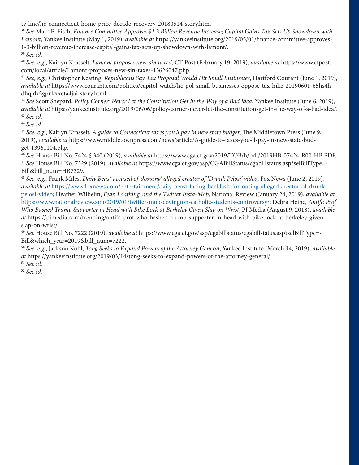ty-line/hc-connecticut-home-price-decade-recovery-20180514-story.htm.

<sup>38</sup> *See* Marc E. Fitch, *Finance Committee Approves \$1.3 Billion Revenue Increase; Capital Gains Tax Sets Up Showdown with Lamont*, Yankee Institute (May 1, 2019), *available at* https://yankeeinstitute.org/2019/05/01/finance-committee-approves-1-3-billion-revenue-increase-capital-gains-tax-sets-up-showdown-with-lamont/.

<sup>39</sup> *See id.*

<sup>40</sup> *See, e.g.*, Kaitlyn Krasselt, *Lamont proposes new 'sin taxes',* CT Post (February 19, 2019), *available at* https://www.ctpost. com/local/article/Lamont-proposes-new-sin-taxes-13626047.php.

<sup>41</sup> *See, e.g.,* Christopher Keating, *Republicans Say Tax Proposal Would Hit Small Businesses*, Hartford Courant (June 1, 2019), *available at* https://www.courant.com/politics/capitol-watch/hc-pol-small-businesses-oppose-tax-hike-20190601-65hs4hdhqjdz5gpnkzxcta4jai-story.html.

<sup>42</sup> *See* Scott Shepard, *Policy Corner: Never Let the Constitution Get in the Way of a Bad Idea*, Yankee Institute (June 6, 2019), *available at* https://yankeeinstitute.org/2019/06/06/policy-corner-never-let-the-constitution-get-in-the-way-of-a-bad-idea/. <sup>43</sup> *See id.*

<sup>44</sup> *See id.*

<sup>45</sup> *See, e.g.*, Kaitlyn Krasselt, *A guide to Connecticut taxes you'll pay in new state budget*, The Middletown Press (June 9, 2019), *available at* https://www.middletownpress.com/news/article/A-guide-to-taxes-you-ll-pay-in-new-state-budget-13961104.php.

<sup>46</sup> *See* House Bill No. 7424 § 340 (2019), *available at* https://www.cga.ct.gov/2019/TOB/h/pdf/2019HB-07424-R00-HB.PDF. <sup>47</sup> *See* House Bill No. 7329 (2019), *available a*t https://www.cga.ct.gov/asp/CGABillStatus/cgabillstatus.asp?selBillType=- Bill&bill\_num=HB7329.

<sup>48</sup> *See, e.g.,* Frank Miles, *Daily Beast accused of 'doxxing' alleged creator of 'Drunk Pelosi' video*, Fox News (June 2, 2019), *available at* [https://www.foxnews.com/entertainment/daily-beast-facing-backlash-for-outing-alleged-creator-of-drunk](https://www.foxnews.com/entertainment/daily-beast-facing-backlash-for-outing-alleged-creator-of-drunk-pelosi-video)[pelosi-video](https://www.foxnews.com/entertainment/daily-beast-facing-backlash-for-outing-alleged-creator-of-drunk-pelosi-video); Heather Wilhelm, *Fear, Loathing, and the Twitter Insta-Mob*, National Review (January 24, 2019), *available at*

[https://www.nationalreview.com/2019/01/twitter-mob-covington-catholic-students-controversy/;](https://www.nationalreview.com/2019/01/twitter-mob-covington-catholic-students-controversy/) Debra Heine, *Antifa Prof Who Bashed Trump Supporter in Head with Bike Lock at Berkeley Given Slap on Wrist*, PJ Media (August 9, 2018), *available at* https://pjmedia.com/trending/antifa-prof-who-bashed-trump-supporter-in-head-with-bike-lock-at-berkeley-givenslap-on-wrist/.

<sup>49</sup> *See* House Bill No. 7222 (2019), *available at* https://www.cga.ct.gov/asp/cgabillstatus/cgabillstatus.asp?selBillType=- Bill&which\_year=2019&bill\_num=7222.

<sup>50</sup> *See, e.g.*, Jackson Kuhl, *Tong Seeks to Expand Powers of the Attorney General*, Yankee Institute (March 14, 2019), *available at* https://yankeeinstitute.org/2019/03/14/tong-seeks-to-expand-powers-of-the-attorney-general/.

<sup>51</sup> *See id.*

<sup>52</sup> *See id.*